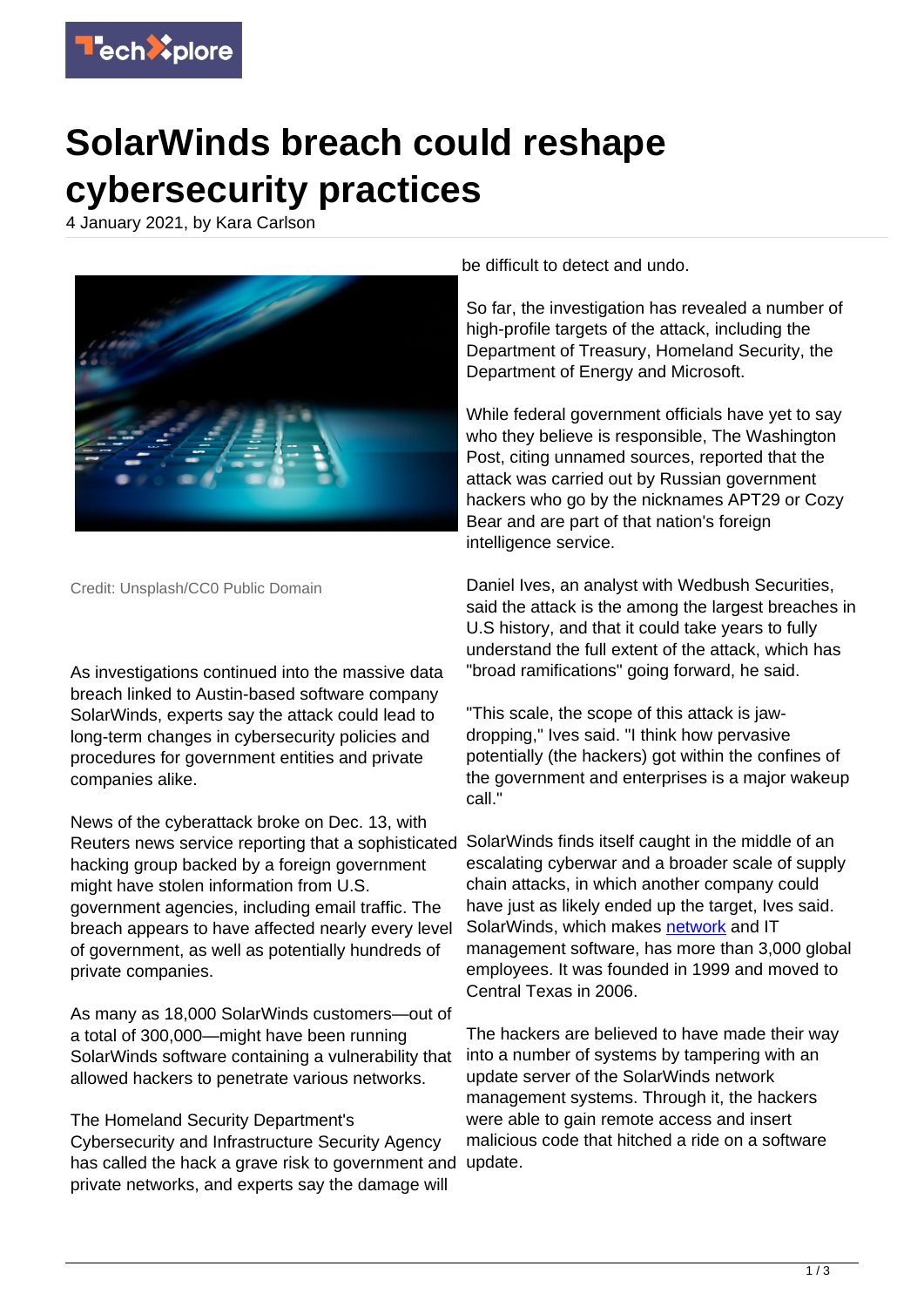

## **SolarWinds breach could reshape cybersecurity practices**

4 January 2021, by Kara Carlson



Credit: Unsplash/CC0 Public Domain

As investigations continued into the massive data breach linked to Austin-based software company SolarWinds, experts say the attack could lead to long-term changes in cybersecurity policies and procedures for government entities and private companies alike.

News of the cyberattack broke on Dec. 13, with Reuters news service reporting that a sophisticated SolarWinds finds itself caught in the middle of an hacking group backed by a foreign government might have stolen information from U.S. government agencies, including email traffic. The breach appears to have affected nearly every level of government, as well as potentially hundreds of private companies.

As many as 18,000 SolarWinds customers—out of a total of 300,000—might have been running SolarWinds software containing a vulnerability that allowed hackers to penetrate various networks.

The Homeland Security Department's Cybersecurity and Infrastructure Security Agency has called the hack a grave risk to government and update. private networks, and experts say the damage will

be difficult to detect and undo.

So far, the investigation has revealed a number of high-profile targets of the attack, including the Department of Treasury, Homeland Security, the Department of Energy and Microsoft.

While federal government officials have yet to say who they believe is responsible, The Washington Post, citing unnamed sources, reported that the attack was carried out by Russian government hackers who go by the nicknames APT29 or Cozy Bear and are part of that nation's foreign intelligence service.

Daniel Ives, an analyst with Wedbush Securities, said the attack is the among the largest breaches in U.S history, and that it could take years to fully understand the full extent of the attack, which has "broad ramifications" going forward, he said.

"This scale, the scope of this attack is jawdropping," Ives said. "I think how pervasive potentially (the hackers) got within the confines of the government and enterprises is a major wakeup call."

escalating cyberwar and a broader scale of supply chain attacks, in which another company could have just as likely ended up the target, Ives said. SolarWinds, which makes [network](https://techxplore.com/tags/network/) and IT management software, has more than 3,000 global employees. It was founded in 1999 and moved to Central Texas in 2006.

The hackers are believed to have made their way into a number of systems by tampering with an update server of the SolarWinds network management systems. Through it, the hackers were able to gain remote access and insert malicious code that hitched a ride on a software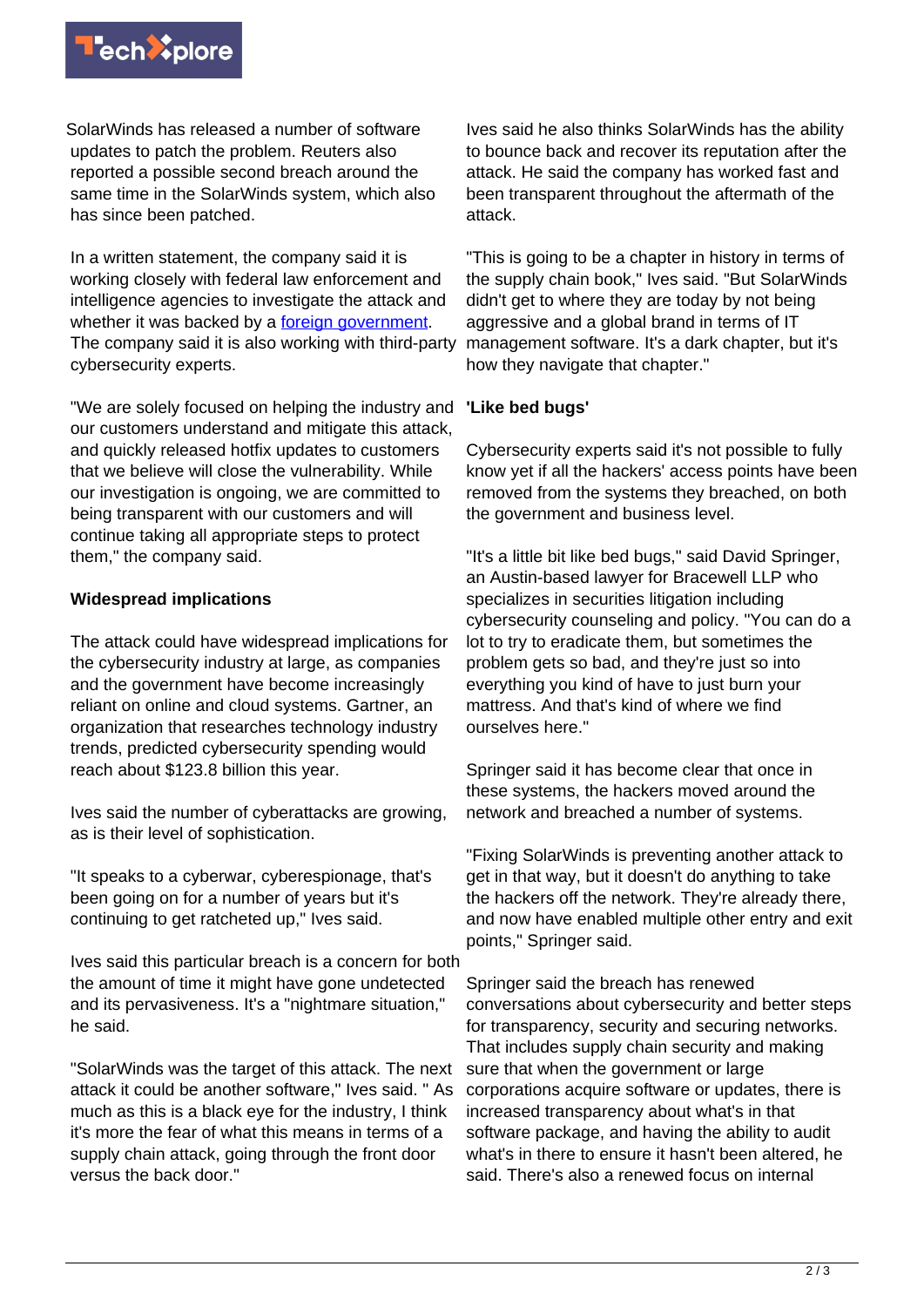

SolarWinds has released a number of software updates to patch the problem. Reuters also reported a possible second breach around the same time in the SolarWinds system, which also has since been patched.

In a written statement, the company said it is working closely with federal law enforcement and intelligence agencies to investigate the attack and whether it was backed by a [foreign government.](https://techxplore.com/tags/foreign+government/) The company said it is also working with third-party cybersecurity experts.

"We are solely focused on helping the industry and **'Like bed bugs'** our customers understand and mitigate this attack, and quickly released hotfix updates to customers that we believe will close the vulnerability. While our investigation is ongoing, we are committed to being transparent with our customers and will continue taking all appropriate steps to protect them," the company said.

## **Widespread implications**

The attack could have widespread implications for the cybersecurity industry at large, as companies and the government have become increasingly reliant on online and cloud systems. Gartner, an organization that researches technology industry trends, predicted cybersecurity spending would reach about \$123.8 billion this year.

Ives said the number of cyberattacks are growing, as is their level of sophistication.

"It speaks to a cyberwar, cyberespionage, that's been going on for a number of years but it's continuing to get ratcheted up," Ives said.

Ives said this particular breach is a concern for both the amount of time it might have gone undetected and its pervasiveness. It's a "nightmare situation," he said.

"SolarWinds was the target of this attack. The next attack it could be another software," Ives said. " As much as this is a black eye for the industry, I think it's more the fear of what this means in terms of a supply chain attack, going through the front door versus the back door."

Ives said he also thinks SolarWinds has the ability to bounce back and recover its reputation after the attack. He said the company has worked fast and been transparent throughout the aftermath of the attack.

"This is going to be a chapter in history in terms of the supply chain book," Ives said. "But SolarWinds didn't get to where they are today by not being aggressive and a global brand in terms of IT management software. It's a dark chapter, but it's how they navigate that chapter."

Cybersecurity experts said it's not possible to fully know yet if all the hackers' access points have been removed from the systems they breached, on both the government and business level.

"It's a little bit like bed bugs," said David Springer, an Austin-based lawyer for Bracewell LLP who specializes in securities litigation including cybersecurity counseling and policy. "You can do a lot to try to eradicate them, but sometimes the problem gets so bad, and they're just so into everything you kind of have to just burn your mattress. And that's kind of where we find ourselves here."

Springer said it has become clear that once in these systems, the hackers moved around the network and breached a number of systems.

"Fixing SolarWinds is preventing another attack to get in that way, but it doesn't do anything to take the hackers off the network. They're already there, and now have enabled multiple other entry and exit points," Springer said.

Springer said the breach has renewed conversations about cybersecurity and better steps for transparency, security and securing networks. That includes supply chain security and making sure that when the government or large corporations acquire software or updates, there is increased transparency about what's in that software package, and having the ability to audit what's in there to ensure it hasn't been altered, he said. There's also a renewed focus on internal